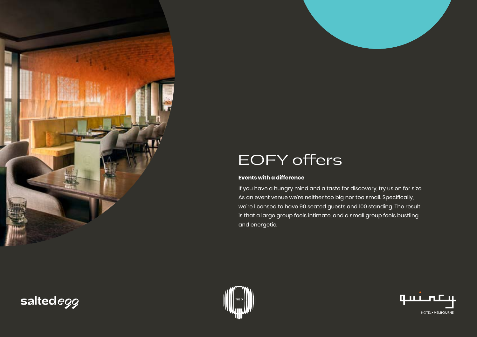

#### **Events with a difference**

If you have a hungry mind and a taste for discovery, try us on for size. As an event venue we're neither too big nor too small. Specifically, we're licensed to have 90 seated guests and 100 standing. The result is that a large group feels intimate, and a small group feels bustling and energetic.





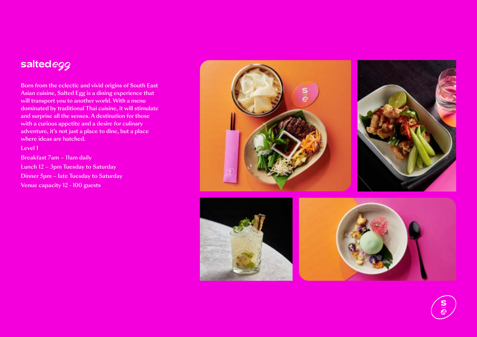# saltedegg

Born from the eclectic and vivid origins of South East Asian cuisine, Salted Egg is a dining experience that will transport you to another world. With a menu dominated by traditional Thai cuisine, it will stimulate and surprise all the senses. A destination for those with a curious appetite and a desire for culinary adventure, it's not just a place to dine, but a place where ideas are hatched.

Level 1

Breakfast 7am – 11am daily Lunch 12 – 3pm Tuesday to Saturday Dinner 5pm – late Tuesday to Saturday Venue capacity 12 - 100 guests





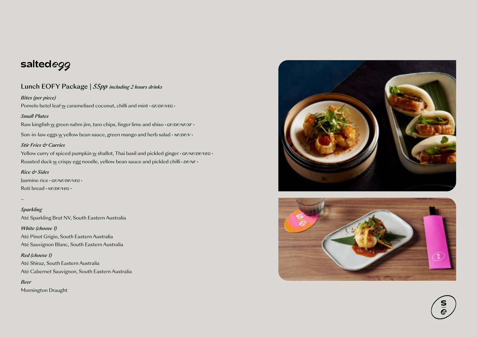## saltedegg

#### Lunch EOFY Package | *55pp including 2 hours drinks*

#### *Bites (per piece)*

Pomelo betel leaf w caramelised coconut, chilli and mint · GF/DF/VEG ·

#### *Small Plates*

Raw kingfish w green nahm jim, taro chips, finger lime and shiso *• GF/DF/NF/SF •*

Son-in-law eggs w yellow bean sauce, green mango and herb salad  $\cdot$  *NF/DF/V*  $\cdot$ 

#### *Stir Fries & Curries*

Yellow curry of spiced pumpkin w shallot, Thai basil and pickled ginger *• GF/NF/DF/VEG* • Roasted duck w crispy egg noodle, yellow bean sauce and pickled chilli *• DF/NF •*

#### *Rice & Sides*

Jasmine rice *• GF/NF/DF/VEG •* Roti bread *• NF/DF/VEG •*

*–*

*Sparkling* Até Sparkling Brut NV, South Eastern Australia

*White (choose 1)* Até Pinot Grigio, South Eastern Australia Até Sauvignon Blanc, South Eastern Australia

*Red (choose 1)* Até Shiraz, South Eastern Australia Até Cabernet Sauvignon, South Eastern Australia

*Beer* Mornington Draught



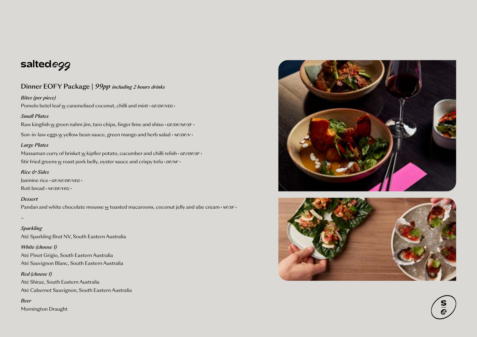## saltedegg

#### Dinner EOFY Package | *99pp including 2 hours drinks*

#### *Bites (per piece)*

Pomelo betel leaf w caramelised coconut, chilli and mint · GF/DF/VEG ·

#### *Small Plates*

Raw kingfish w green nahm jim, taro chips, finger lime and shiso *• GF/DF/NF/SF •*

Son-in-law eggs w yellow bean sauce, green mango and herb salad  $\cdot$  *NF/DF/V*  $\cdot$ 

#### *Large Plates*

Massaman curry of brisket w kipfler potato, cucumber and chilli relish • GF//DF/SF • Stir fried greens w roast pork belly, oyster sauce and crispy tofu · *DF/NF* ·

#### *Rice & Sides*

Jasmine rice *• GF/NF/DF/VEG •* Roti bread *• NF/DF/VEG •*

#### *Dessert*

Pandan and white chocolate mousse w toasted macaroons, coconut jelly and ube cream *• NF/SF •* 

*–*

#### *Sparkling*

Até Sparkling Brut NV, South Eastern Australia

#### *White (choose 1)*

Até Pinot Grigio, South Eastern Australia Até Sauvignon Blanc, South Eastern Australia

#### *Red (choose 1)*

Até Shiraz, South Eastern Australia Até Cabernet Sauvignon, South Eastern Australia

#### *Beer*

Mornington Draught





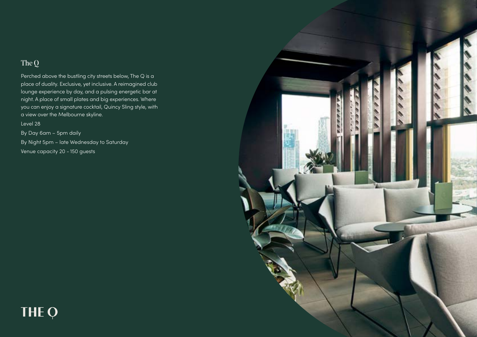## The Q

Perched above the bustling city streets below, The Q is a place of duality. Exclusive, yet inclusive. A reimagined club lounge experience by day, and a pulsing energetic bar at night. A place of small plates and big experiences. Where you can enjoy a signature cocktail, Quincy Sling style, with a view over the Melbourne skyline.

Level 28

By Day 6am – 5pm daily By Night 5pm – late Wednesday to Saturday Venue capacity 20 - 150 guests



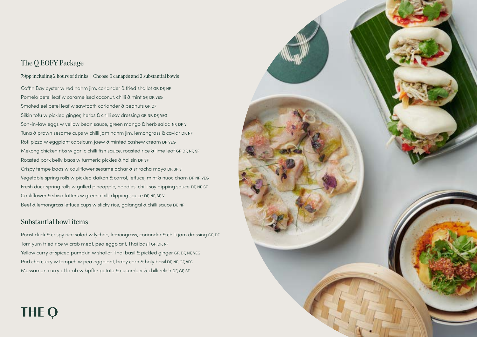### The Q EOFY Package

#### 79pp including 2 hours of drinks | Choose 6 canapés and 2 substantial bowls

Coffin Bay oyster w red nahm jim, coriander & fried shallot GF, DF, NF Pomelo betel leaf w caramelised coconut, chilli & mint GF, DF, VEG Smoked eel betel leaf w sawtooth coriander & peanuts GF, DF Silkin tofu w pickled ginger, herbs & chilli soy dressing GF, NF, DF, VEG Son-in-law eggs w yellow bean sauce, green mango & herb salad NF, DF, V Tuna & prawn sesame cups w chilli jam nahm jim, lemongrass & caviar DF, NF Roti pizza w eggplant capsicum jaew & minted cashew cream DF, VEG Mekong chicken ribs w garlic chilli fish sauce, roasted rice & lime leaf GF, DF, NF, SF Roasted pork belly baos w turmeric pickles & hoi sin DF, SF Crispy tempe baos w cauliflower sesame achar & sriracha mayo DF, SF, V Vegetable spring rolls w pickled daikon & carrot, lettuce, mint & nuoc cham DF, NF, VEG Fresh duck spring rolls w grilled pineapple, noodles, chilli soy dipping sauce DF, NF, SF Cauliflower & shiso fritters w green chilli dipping sauce DF, NF, SF, V Beef & lemongrass lettuce cups w sticky rice, galangal & chilli sauce DF, NF

#### Substantial bowl items

Roast duck & crispy rice salad w lychee, lemongrass, coriander & chilli jam dressing GF, DF Tom yum fried rice w crab meat, pea eggplant, Thai basil GF, DF, NF Yellow curry of spiced pumpkin w shallot, Thai basil & pickled ginger GF, DF, NF, VEG Pad cha curry w tempeh w pea eggplant, baby corn & holy basil DF, NF, GF, VEG Massaman curry of lamb w kipfler potato & cucumber & chilli relish DF, GF, SF

**THE Q** 

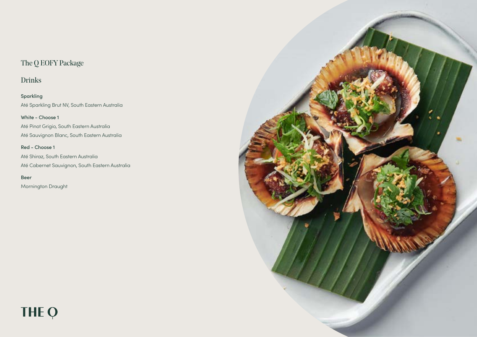## The Q EOFY Package

Drinks

Sparkling Até Sparkling Brut NV, South Eastern Australia

White - Choose 1 Até Pinot Grigio, South Eastern Australia Até Sauvignon Blanc, South Eastern Australia

Red - Choose 1 Até Shiraz, South Eastern Australia Até Cabernet Sauvignon, South Eastern Australia

Beer Mornington Draught

THE Q